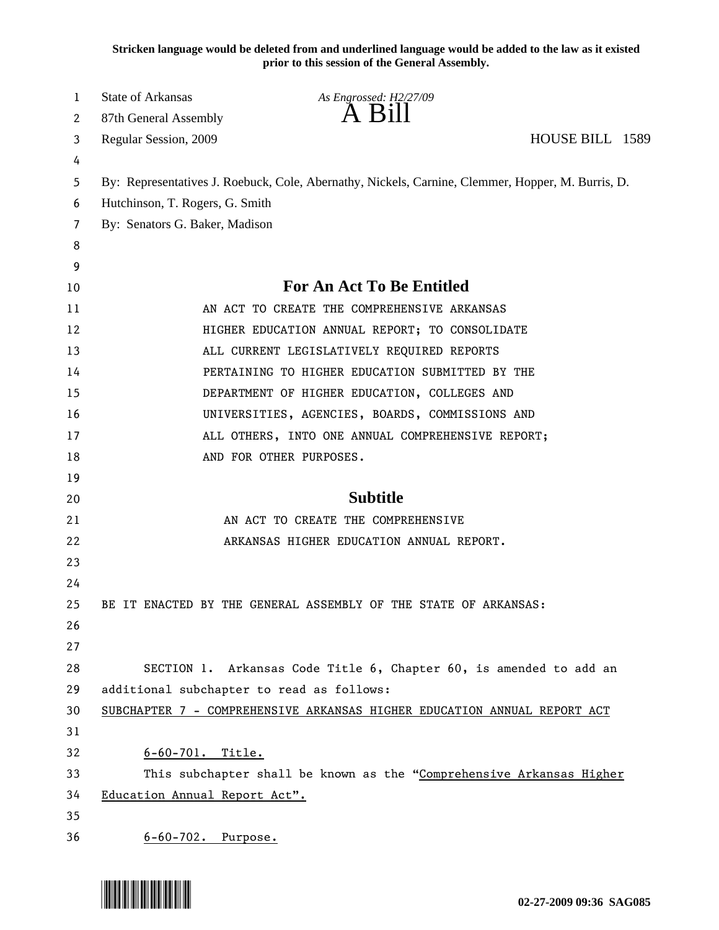**Stricken language would be deleted from and underlined language would be added to the law as it existed prior to this session of the General Assembly.**

| 1  | <b>State of Arkansas</b>                                                                          | As Engrossed: H2/27/09                                                   |  |  |  |
|----|---------------------------------------------------------------------------------------------------|--------------------------------------------------------------------------|--|--|--|
| 2  | 87th General Assembly                                                                             | $A$ B <sub>1</sub> $\parallel$                                           |  |  |  |
| 3  | Regular Session, 2009                                                                             | HOUSE BILL 1589                                                          |  |  |  |
| 4  |                                                                                                   |                                                                          |  |  |  |
| 5  | By: Representatives J. Roebuck, Cole, Abernathy, Nickels, Carnine, Clemmer, Hopper, M. Burris, D. |                                                                          |  |  |  |
| 6  | Hutchinson, T. Rogers, G. Smith                                                                   |                                                                          |  |  |  |
| 7  | By: Senators G. Baker, Madison                                                                    |                                                                          |  |  |  |
| 8  |                                                                                                   |                                                                          |  |  |  |
| 9  |                                                                                                   |                                                                          |  |  |  |
| 10 |                                                                                                   | <b>For An Act To Be Entitled</b>                                         |  |  |  |
| 11 |                                                                                                   | AN ACT TO CREATE THE COMPREHENSIVE ARKANSAS                              |  |  |  |
| 12 |                                                                                                   | HIGHER EDUCATION ANNUAL REPORT; TO CONSOLIDATE                           |  |  |  |
| 13 |                                                                                                   | ALL CURRENT LEGISLATIVELY REQUIRED REPORTS                               |  |  |  |
| 14 |                                                                                                   | PERTAINING TO HIGHER EDUCATION SUBMITTED BY THE                          |  |  |  |
| 15 |                                                                                                   | DEPARTMENT OF HIGHER EDUCATION, COLLEGES AND                             |  |  |  |
| 16 |                                                                                                   | UNIVERSITIES, AGENCIES, BOARDS, COMMISSIONS AND                          |  |  |  |
| 17 |                                                                                                   | ALL OTHERS, INTO ONE ANNUAL COMPREHENSIVE REPORT;                        |  |  |  |
| 18 |                                                                                                   | AND FOR OTHER PURPOSES.                                                  |  |  |  |
| 19 |                                                                                                   |                                                                          |  |  |  |
| 20 |                                                                                                   | <b>Subtitle</b>                                                          |  |  |  |
| 21 |                                                                                                   | AN ACT TO CREATE THE COMPREHENSIVE                                       |  |  |  |
| 22 |                                                                                                   | ARKANSAS HIGHER EDUCATION ANNUAL REPORT.                                 |  |  |  |
| 23 |                                                                                                   |                                                                          |  |  |  |
| 24 |                                                                                                   |                                                                          |  |  |  |
| 25 |                                                                                                   | BE IT ENACTED BY THE GENERAL ASSEMBLY OF THE STATE OF ARKANSAS:          |  |  |  |
| 26 |                                                                                                   |                                                                          |  |  |  |
| 27 |                                                                                                   |                                                                          |  |  |  |
| 28 |                                                                                                   | SECTION 1. Arkansas Code Title 6, Chapter 60, is amended to add an       |  |  |  |
| 29 | additional subchapter to read as follows:                                                         |                                                                          |  |  |  |
| 30 |                                                                                                   | SUBCHAPTER 7 - COMPREHENSIVE ARKANSAS HIGHER EDUCATION ANNUAL REPORT ACT |  |  |  |
| 31 |                                                                                                   |                                                                          |  |  |  |
| 32 | $6 - 60 - 701$ . Title.                                                                           |                                                                          |  |  |  |
| 33 | This subchapter shall be known as the "Comprehensive Arkansas Higher                              |                                                                          |  |  |  |
| 34 | Education Annual Report Act".                                                                     |                                                                          |  |  |  |
| 35 |                                                                                                   |                                                                          |  |  |  |
| 36 | 6-60-702. Purpose.                                                                                |                                                                          |  |  |  |

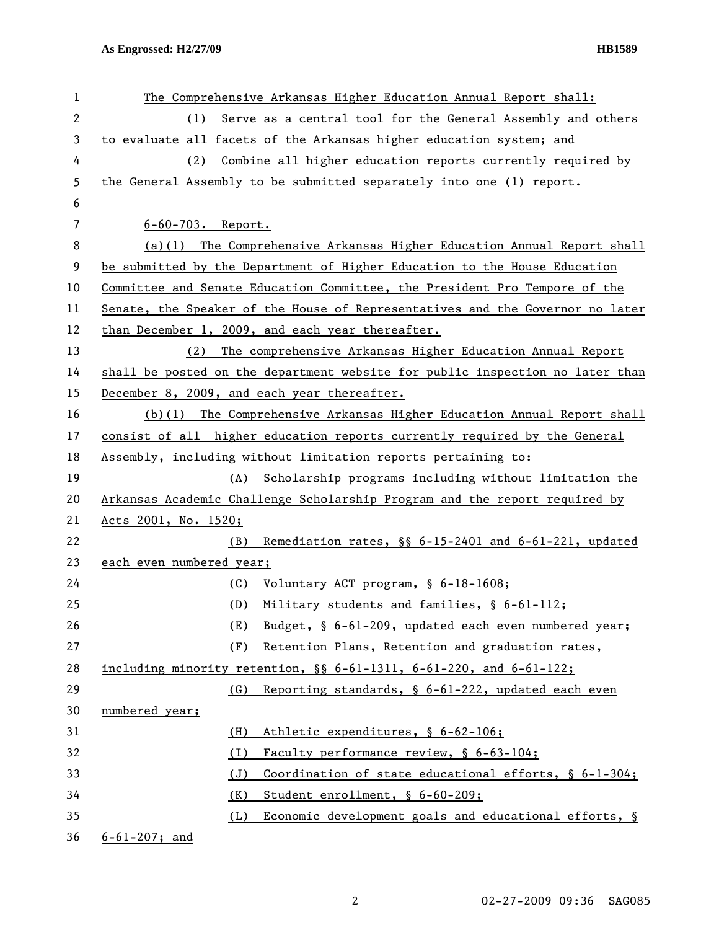| 1  | The Comprehensive Arkansas Higher Education Annual Report shall:              |  |  |
|----|-------------------------------------------------------------------------------|--|--|
| 2  | Serve as a central tool for the General Assembly and others<br>(1)            |  |  |
| 3  | to evaluate all facets of the Arkansas higher education system; and           |  |  |
| 4  | (2)<br>Combine all higher education reports currently required by             |  |  |
| 5  | the General Assembly to be submitted separately into one (1) report.          |  |  |
| 6  |                                                                               |  |  |
| 7  | $6 - 60 - 703$ . Report.                                                      |  |  |
| 8  | $(a)(1)$ The Comprehensive Arkansas Higher Education Annual Report shall      |  |  |
| 9  | be submitted by the Department of Higher Education to the House Education     |  |  |
| 10 | Committee and Senate Education Committee, the President Pro Tempore of the    |  |  |
| 11 | Senate, the Speaker of the House of Representatives and the Governor no later |  |  |
| 12 | than December 1, 2009, and each year thereafter.                              |  |  |
| 13 | The comprehensive Arkansas Higher Education Annual Report<br>(2)              |  |  |
| 14 | shall be posted on the department website for public inspection no later than |  |  |
| 15 | December 8, 2009, and each year thereafter.                                   |  |  |
| 16 | $(b)(1)$ The Comprehensive Arkansas Higher Education Annual Report shall      |  |  |
| 17 | consist of all higher education reports currently required by the General     |  |  |
| 18 | Assembly, including without limitation reports pertaining to:                 |  |  |
| 19 | (A) Scholarship programs including without limitation the                     |  |  |
| 20 | Arkansas Academic Challenge Scholarship Program and the report required by    |  |  |
| 21 | Acts 2001, No. 1520;                                                          |  |  |
| 22 | Remediation rates, §§ 6-15-2401 and 6-61-221, updated<br>(B)                  |  |  |
| 23 | each even numbered year;                                                      |  |  |
| 24 | Voluntary ACT program, § 6-18-1608;<br>(C)                                    |  |  |
| 25 | Military students and families, § 6-61-112;<br>(D)                            |  |  |
| 26 | Budget, § 6-61-209, updated each even numbered year;<br>(E)                   |  |  |
| 27 | Retention Plans, Retention and graduation rates,<br>(F)                       |  |  |
| 28 | including minority retention, §§ 6-61-1311, 6-61-220, and 6-61-122;           |  |  |
| 29 | Reporting standards, § 6-61-222, updated each even<br>(G)                     |  |  |
| 30 | numbered year;                                                                |  |  |
| 31 | Athletic expenditures, § 6-62-106;<br>(H)                                     |  |  |
| 32 | Faculty performance review, § 6-63-104;<br>(I)                                |  |  |
| 33 | Coordination of state educational efforts, § 6-1-304;<br>(J)                  |  |  |
| 34 | Student enrollment, § 6-60-209;<br>(K)                                        |  |  |
| 35 | Economic development goals and educational efforts, §<br>(L)                  |  |  |
| 36 | $6 - 61 - 207$ ; and                                                          |  |  |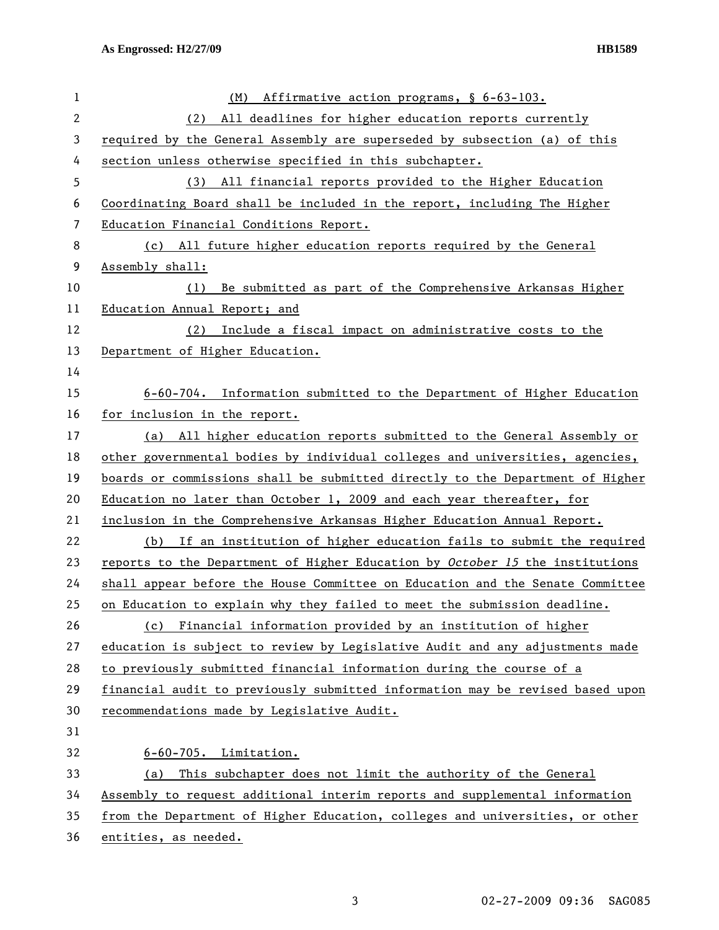| 1            | Affirmative action programs, § 6-63-103.<br>(M)                               |
|--------------|-------------------------------------------------------------------------------|
| $\mathbf{2}$ | All deadlines for higher education reports currently<br>(2)                   |
| 3            | required by the General Assembly are superseded by subsection (a) of this     |
| 4            | section unless otherwise specified in this subchapter.                        |
| 5            | (3) All financial reports provided to the Higher Education                    |
| 6            | Coordinating Board shall be included in the report, including The Higher      |
| 7            | Education Financial Conditions Report.                                        |
| 8            | (c) All future higher education reports required by the General               |
| 9            | Assembly shall:                                                               |
| 10           | Be submitted as part of the Comprehensive Arkansas Higher<br>(1)              |
| 11           | Education Annual Report; and                                                  |
| 12           | Include a fiscal impact on administrative costs to the<br>(2)                 |
| 13           | Department of Higher Education.                                               |
| 14           |                                                                               |
| 15           | 6-60-704. Information submitted to the Department of Higher Education         |
| 16           | for inclusion in the report.                                                  |
| 17           | All higher education reports submitted to the General Assembly or<br>(a)      |
| 18           | other governmental bodies by individual colleges and universities, agencies,  |
| 19           | boards or commissions shall be submitted directly to the Department of Higher |
| 20           | Education no later than October 1, 2009 and each year thereafter, for         |
| 21           | inclusion in the Comprehensive Arkansas Higher Education Annual Report.       |
| 22           | (b) If an institution of higher education fails to submit the required        |
| 23           | reports to the Department of Higher Education by October 15 the institutions  |
| 24           | shall appear before the House Committee on Education and the Senate Committee |
| 25           | on Education to explain why they failed to meet the submission deadline.      |
| 26           | (c) Financial information provided by an institution of higher                |
| 27           | education is subject to review by Legislative Audit and any adjustments made  |
| 28           | to previously submitted financial information during the course of a          |
| 29           | financial audit to previously submitted information may be revised based upon |
| 30           | recommendations made by Legislative Audit.                                    |
| 31           |                                                                               |
| 32           | $6-60-705$ . Limitation.                                                      |
| 33           | This subchapter does not limit the authority of the General<br>(a)            |
| 34           | Assembly to request additional interim reports and supplemental information   |
| 35           | from the Department of Higher Education, colleges and universities, or other  |
| 36           | entities, as needed.                                                          |